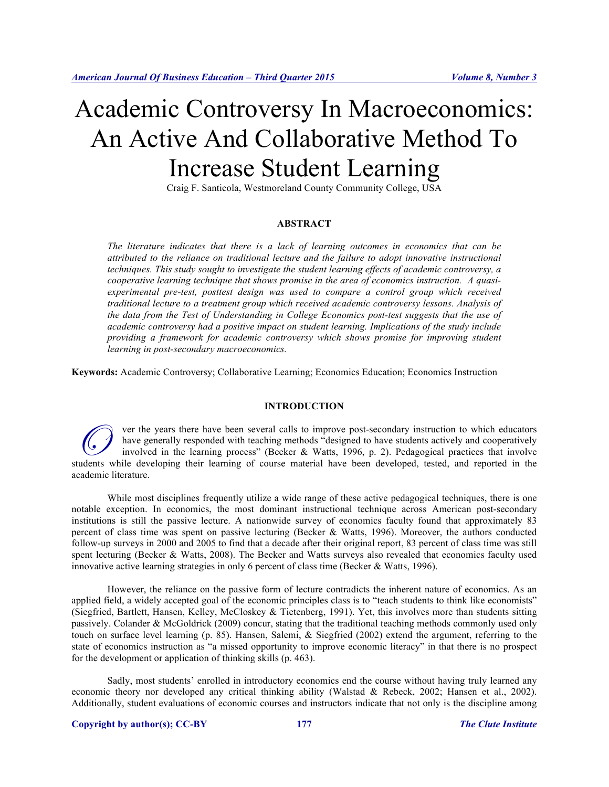# Academic Controversy In Macroeconomics: An Active And Collaborative Method To Increase Student Learning

Craig F. Santicola, Westmoreland County Community College, USA

## **ABSTRACT**

*The literature indicates that there is a lack of learning outcomes in economics that can be attributed to the reliance on traditional lecture and the failure to adopt innovative instructional techniques. This study sought to investigate the student learning effects of academic controversy, a cooperative learning technique that shows promise in the area of economics instruction. A quasiexperimental pre-test, posttest design was used to compare a control group which received traditional lecture to a treatment group which received academic controversy lessons. Analysis of the data from the Test of Understanding in College Economics post-test suggests that the use of academic controversy had a positive impact on student learning. Implications of the study include providing a framework for academic controversy which shows promise for improving student learning in post-secondary macroeconomics.* 

**Keywords:** Academic Controversy; Collaborative Learning; Economics Education; Economics Instruction

#### **INTRODUCTION**

ver the years there have been several calls to improve post-secondary instruction to which educators have generally responded with teaching methods "designed to have students actively and cooperatively involved in the learning process" (Becker & Watts, 1996, p. 2). Pedagogical practices that involve G and the vears there have been several calls to improve post-secondary instruction to which educators have generally responded with teaching methods "designed to have students actively and cooperatively involved in the le academic literature.

While most disciplines frequently utilize a wide range of these active pedagogical techniques, there is one notable exception. In economics, the most dominant instructional technique across American post-secondary institutions is still the passive lecture. A nationwide survey of economics faculty found that approximately 83 percent of class time was spent on passive lecturing (Becker & Watts, 1996). Moreover, the authors conducted follow-up surveys in 2000 and 2005 to find that a decade after their original report, 83 percent of class time was still spent lecturing (Becker & Watts, 2008). The Becker and Watts surveys also revealed that economics faculty used innovative active learning strategies in only 6 percent of class time (Becker & Watts, 1996).

However, the reliance on the passive form of lecture contradicts the inherent nature of economics. As an applied field, a widely accepted goal of the economic principles class is to "teach students to think like economists" (Siegfried, Bartlett, Hansen, Kelley, McCloskey & Tietenberg, 1991). Yet, this involves more than students sitting passively. Colander & McGoldrick (2009) concur, stating that the traditional teaching methods commonly used only touch on surface level learning (p. 85). Hansen, Salemi, & Siegfried (2002) extend the argument, referring to the state of economics instruction as "a missed opportunity to improve economic literacy" in that there is no prospect for the development or application of thinking skills (p. 463).

Sadly, most students' enrolled in introductory economics end the course without having truly learned any economic theory nor developed any critical thinking ability (Walstad & Rebeck, 2002; Hansen et al., 2002). Additionally, student evaluations of economic courses and instructors indicate that not only is the discipline among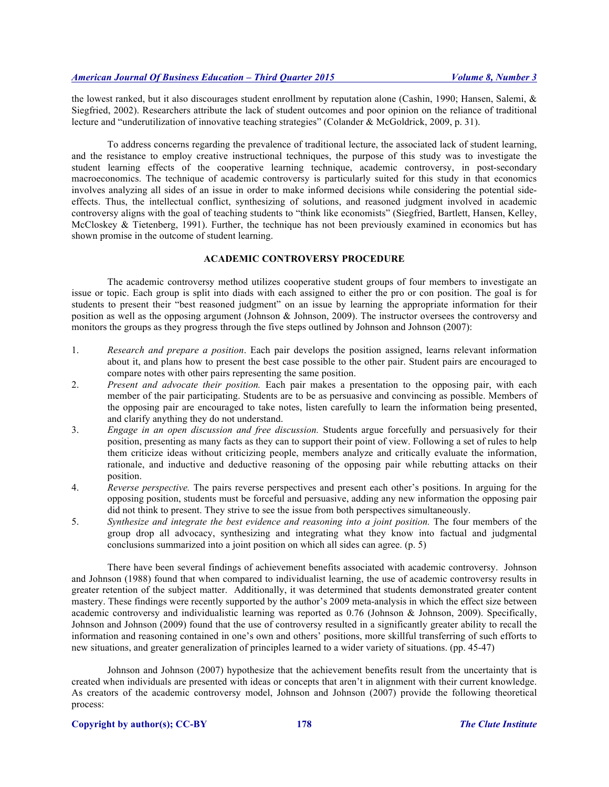the lowest ranked, but it also discourages student enrollment by reputation alone (Cashin, 1990; Hansen, Salemi, & Siegfried, 2002). Researchers attribute the lack of student outcomes and poor opinion on the reliance of traditional lecture and "underutilization of innovative teaching strategies" (Colander & McGoldrick, 2009, p. 31).

To address concerns regarding the prevalence of traditional lecture, the associated lack of student learning, and the resistance to employ creative instructional techniques, the purpose of this study was to investigate the student learning effects of the cooperative learning technique, academic controversy, in post-secondary macroeconomics. The technique of academic controversy is particularly suited for this study in that economics involves analyzing all sides of an issue in order to make informed decisions while considering the potential sideeffects. Thus, the intellectual conflict, synthesizing of solutions, and reasoned judgment involved in academic controversy aligns with the goal of teaching students to "think like economists" (Siegfried, Bartlett, Hansen, Kelley, McCloskey & Tietenberg, 1991). Further, the technique has not been previously examined in economics but has shown promise in the outcome of student learning.

## **ACADEMIC CONTROVERSY PROCEDURE**

The academic controversy method utilizes cooperative student groups of four members to investigate an issue or topic. Each group is split into diads with each assigned to either the pro or con position. The goal is for students to present their "best reasoned judgment" on an issue by learning the appropriate information for their position as well as the opposing argument (Johnson & Johnson, 2009). The instructor oversees the controversy and monitors the groups as they progress through the five steps outlined by Johnson and Johnson (2007):

- 1. *Research and prepare a position*. Each pair develops the position assigned, learns relevant information about it, and plans how to present the best case possible to the other pair. Student pairs are encouraged to compare notes with other pairs representing the same position.
- 2. *Present and advocate their position.* Each pair makes a presentation to the opposing pair, with each member of the pair participating. Students are to be as persuasive and convincing as possible. Members of the opposing pair are encouraged to take notes, listen carefully to learn the information being presented, and clarify anything they do not understand.
- 3. *Engage in an open discussion and free discussion.* Students argue forcefully and persuasively for their position, presenting as many facts as they can to support their point of view. Following a set of rules to help them criticize ideas without criticizing people, members analyze and critically evaluate the information, rationale, and inductive and deductive reasoning of the opposing pair while rebutting attacks on their position.
- 4. *Reverse perspective.* The pairs reverse perspectives and present each other's positions. In arguing for the opposing position, students must be forceful and persuasive, adding any new information the opposing pair did not think to present. They strive to see the issue from both perspectives simultaneously.
- 5. *Synthesize and integrate the best evidence and reasoning into a joint position.* The four members of the group drop all advocacy, synthesizing and integrating what they know into factual and judgmental conclusions summarized into a joint position on which all sides can agree. (p. 5)

There have been several findings of achievement benefits associated with academic controversy. Johnson and Johnson (1988) found that when compared to individualist learning, the use of academic controversy results in greater retention of the subject matter. Additionally, it was determined that students demonstrated greater content mastery. These findings were recently supported by the author's 2009 meta-analysis in which the effect size between academic controversy and individualistic learning was reported as 0.76 (Johnson & Johnson, 2009). Specifically, Johnson and Johnson (2009) found that the use of controversy resulted in a significantly greater ability to recall the information and reasoning contained in one's own and others' positions, more skillful transferring of such efforts to new situations, and greater generalization of principles learned to a wider variety of situations. (pp. 45-47)

Johnson and Johnson (2007) hypothesize that the achievement benefits result from the uncertainty that is created when individuals are presented with ideas or concepts that aren't in alignment with their current knowledge. As creators of the academic controversy model, Johnson and Johnson (2007) provide the following theoretical process: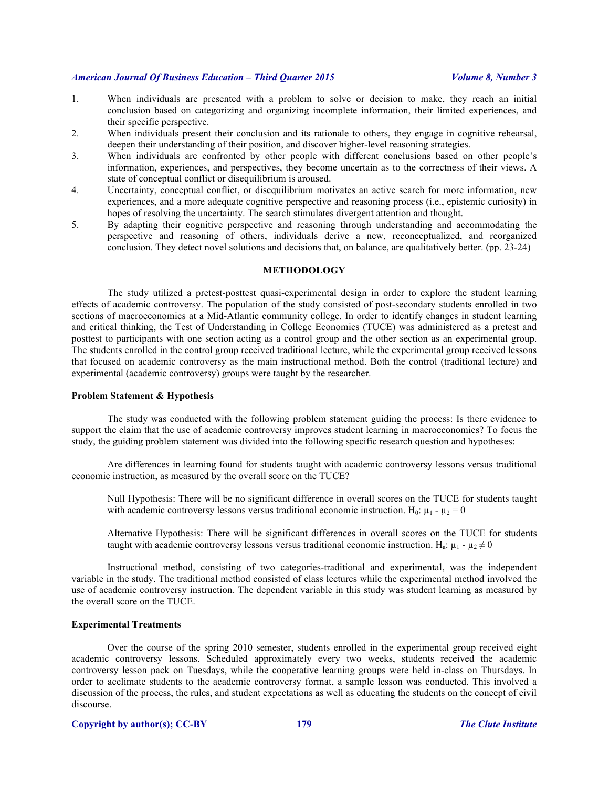- 1. When individuals are presented with a problem to solve or decision to make, they reach an initial conclusion based on categorizing and organizing incomplete information, their limited experiences, and their specific perspective.
- 2. When individuals present their conclusion and its rationale to others, they engage in cognitive rehearsal, deepen their understanding of their position, and discover higher-level reasoning strategies.
- 3. When individuals are confronted by other people with different conclusions based on other people's information, experiences, and perspectives, they become uncertain as to the correctness of their views. A state of conceptual conflict or disequilibrium is aroused.
- 4. Uncertainty, conceptual conflict, or disequilibrium motivates an active search for more information, new experiences, and a more adequate cognitive perspective and reasoning process (i.e., epistemic curiosity) in hopes of resolving the uncertainty. The search stimulates divergent attention and thought.
- 5. By adapting their cognitive perspective and reasoning through understanding and accommodating the perspective and reasoning of others, individuals derive a new, reconceptualized, and reorganized conclusion. They detect novel solutions and decisions that, on balance, are qualitatively better. (pp. 23-24)

## **METHODOLOGY**

The study utilized a pretest-posttest quasi-experimental design in order to explore the student learning effects of academic controversy. The population of the study consisted of post-secondary students enrolled in two sections of macroeconomics at a Mid-Atlantic community college. In order to identify changes in student learning and critical thinking, the Test of Understanding in College Economics (TUCE) was administered as a pretest and posttest to participants with one section acting as a control group and the other section as an experimental group. The students enrolled in the control group received traditional lecture, while the experimental group received lessons that focused on academic controversy as the main instructional method. Both the control (traditional lecture) and experimental (academic controversy) groups were taught by the researcher.

#### **Problem Statement & Hypothesis**

The study was conducted with the following problem statement guiding the process: Is there evidence to support the claim that the use of academic controversy improves student learning in macroeconomics? To focus the study, the guiding problem statement was divided into the following specific research question and hypotheses:

Are differences in learning found for students taught with academic controversy lessons versus traditional economic instruction, as measured by the overall score on the TUCE?

Null Hypothesis: There will be no significant difference in overall scores on the TUCE for students taught with academic controversy lessons versus traditional economic instruction. H<sub>0</sub>:  $\mu_1 - \mu_2 = 0$ 

Alternative Hypothesis: There will be significant differences in overall scores on the TUCE for students taught with academic controversy lessons versus traditional economic instruction. H<sub>a</sub>:  $\mu_1$  -  $\mu_2 \neq 0$ 

Instructional method, consisting of two categories-traditional and experimental, was the independent variable in the study. The traditional method consisted of class lectures while the experimental method involved the use of academic controversy instruction. The dependent variable in this study was student learning as measured by the overall score on the TUCE.

## **Experimental Treatments**

Over the course of the spring 2010 semester, students enrolled in the experimental group received eight academic controversy lessons. Scheduled approximately every two weeks, students received the academic controversy lesson pack on Tuesdays, while the cooperative learning groups were held in-class on Thursdays. In order to acclimate students to the academic controversy format, a sample lesson was conducted. This involved a discussion of the process, the rules, and student expectations as well as educating the students on the concept of civil discourse.

## **Copyright by author(s); CC-BY 179** *The Clute Institute*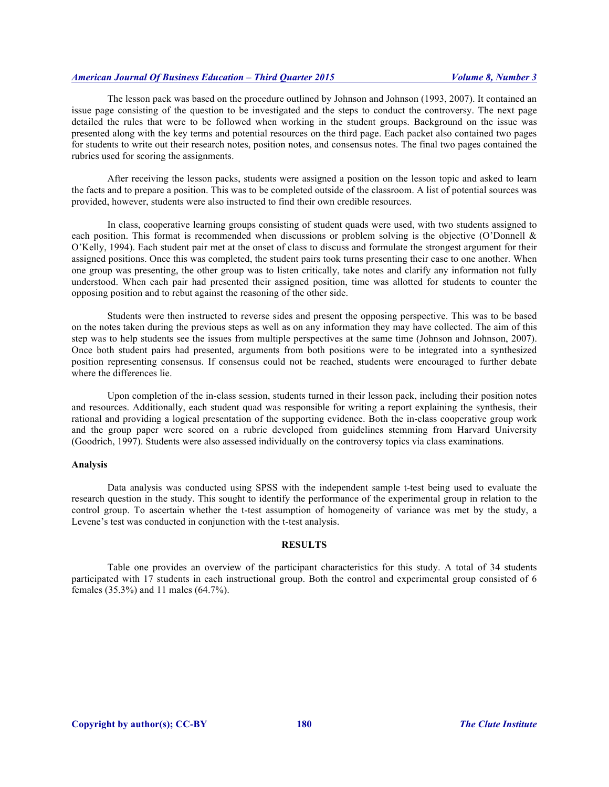The lesson pack was based on the procedure outlined by Johnson and Johnson (1993, 2007). It contained an issue page consisting of the question to be investigated and the steps to conduct the controversy. The next page detailed the rules that were to be followed when working in the student groups. Background on the issue was presented along with the key terms and potential resources on the third page. Each packet also contained two pages for students to write out their research notes, position notes, and consensus notes. The final two pages contained the rubrics used for scoring the assignments.

After receiving the lesson packs, students were assigned a position on the lesson topic and asked to learn the facts and to prepare a position. This was to be completed outside of the classroom. A list of potential sources was provided, however, students were also instructed to find their own credible resources.

In class, cooperative learning groups consisting of student quads were used, with two students assigned to each position. This format is recommended when discussions or problem solving is the objective (O'Donnell & O'Kelly, 1994). Each student pair met at the onset of class to discuss and formulate the strongest argument for their assigned positions. Once this was completed, the student pairs took turns presenting their case to one another. When one group was presenting, the other group was to listen critically, take notes and clarify any information not fully understood. When each pair had presented their assigned position, time was allotted for students to counter the opposing position and to rebut against the reasoning of the other side.

Students were then instructed to reverse sides and present the opposing perspective. This was to be based on the notes taken during the previous steps as well as on any information they may have collected. The aim of this step was to help students see the issues from multiple perspectives at the same time (Johnson and Johnson, 2007). Once both student pairs had presented, arguments from both positions were to be integrated into a synthesized position representing consensus. If consensus could not be reached, students were encouraged to further debate where the differences lie.

Upon completion of the in-class session, students turned in their lesson pack, including their position notes and resources. Additionally, each student quad was responsible for writing a report explaining the synthesis, their rational and providing a logical presentation of the supporting evidence. Both the in-class cooperative group work and the group paper were scored on a rubric developed from guidelines stemming from Harvard University (Goodrich, 1997). Students were also assessed individually on the controversy topics via class examinations.

#### **Analysis**

Data analysis was conducted using SPSS with the independent sample t-test being used to evaluate the research question in the study. This sought to identify the performance of the experimental group in relation to the control group. To ascertain whether the t-test assumption of homogeneity of variance was met by the study, a Levene's test was conducted in conjunction with the t-test analysis.

#### **RESULTS**

Table one provides an overview of the participant characteristics for this study. A total of 34 students participated with 17 students in each instructional group. Both the control and experimental group consisted of 6 females (35.3%) and 11 males (64.7%).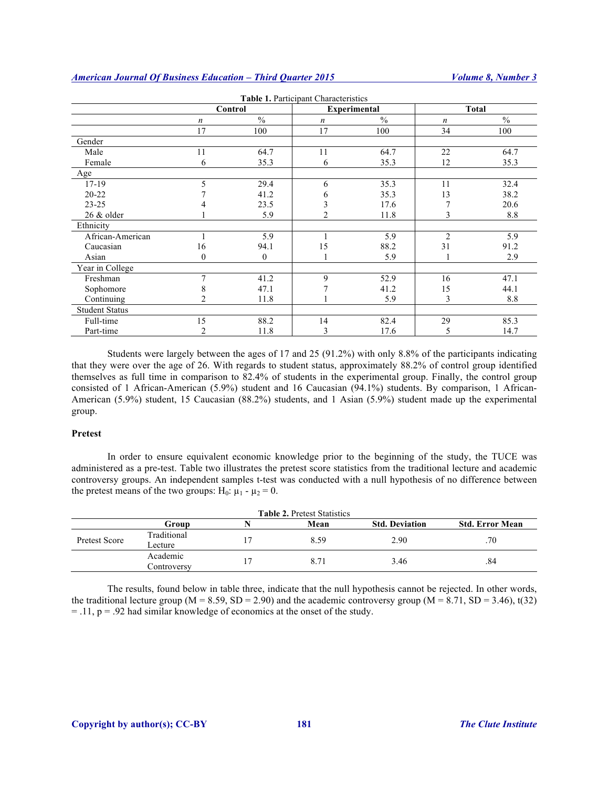| Table 1. Participant Characteristics |                  |               |                     |               |                  |               |  |  |  |
|--------------------------------------|------------------|---------------|---------------------|---------------|------------------|---------------|--|--|--|
|                                      | Control          |               | <b>Experimental</b> |               | <b>Total</b>     |               |  |  |  |
|                                      | $\boldsymbol{n}$ | $\frac{0}{0}$ | $\boldsymbol{n}$    | $\frac{0}{0}$ | $\boldsymbol{n}$ | $\frac{0}{0}$ |  |  |  |
|                                      | 17               | 100           | 17                  | 100           | 34               | 100           |  |  |  |
| Gender                               |                  |               |                     |               |                  |               |  |  |  |
| Male                                 | 11               | 64.7          | 11                  | 64.7          | 22               | 64.7          |  |  |  |
| Female                               | 6                | 35.3          | 6                   | 35.3          | 12               | 35.3          |  |  |  |
| Age                                  |                  |               |                     |               |                  |               |  |  |  |
| $17 - 19$                            | 5                | 29.4          | 6                   | 35.3          | 11               | 32.4          |  |  |  |
| $20 - 22$                            |                  | 41.2          | h                   | 35.3          | 13               | 38.2          |  |  |  |
| $23 - 25$                            |                  | 23.5          |                     | 17.6          |                  | 20.6          |  |  |  |
| 26 & older                           |                  | 5.9           | $\overline{2}$      | 11.8          | 3                | 8.8           |  |  |  |
| Ethnicity                            |                  |               |                     |               |                  |               |  |  |  |
| African-American                     |                  | 5.9           |                     | 5.9           | $\overline{2}$   | 5.9           |  |  |  |
| Caucasian                            | 16               | 94.1          | 15                  | 88.2          | 31               | 91.2          |  |  |  |
| Asian                                | $\Omega$         | $\theta$      |                     | 5.9           |                  | 2.9           |  |  |  |
| Year in College                      |                  |               |                     |               |                  |               |  |  |  |
| Freshman                             | 7                | 41.2          | 9                   | 52.9          | 16               | 47.1          |  |  |  |
| Sophomore                            |                  | 47.1          |                     | 41.2          | 15               | 44.1          |  |  |  |
| Continuing                           |                  | 11.8          |                     | 5.9           | 3                | 8.8           |  |  |  |
| <b>Student Status</b>                |                  |               |                     |               |                  |               |  |  |  |
| Full-time                            | 15               | 88.2          | 14                  | 82.4          | 29               | 85.3          |  |  |  |
| Part-time                            | 2                | 11.8          | 3                   | 17.6          | 5                | 14.7          |  |  |  |

Students were largely between the ages of 17 and 25 (91.2%) with only 8.8% of the participants indicating that they were over the age of 26. With regards to student status, approximately 88.2% of control group identified themselves as full time in comparison to 82.4% of students in the experimental group. Finally, the control group consisted of 1 African-American (5.9%) student and 16 Caucasian (94.1%) students. By comparison, 1 African-American (5.9%) student, 15 Caucasian (88.2%) students, and 1 Asian (5.9%) student made up the experimental group.

## **Pretest**

In order to ensure equivalent economic knowledge prior to the beginning of the study, the TUCE was administered as a pre-test. Table two illustrates the pretest score statistics from the traditional lecture and academic controversy groups. An independent samples t-test was conducted with a null hypothesis of no difference between the pretest means of the two groups:  $H_0$ :  $\mu_1 - \mu_2 = 0$ .

|               |                         |    | <b>Table 2. Pretest Statistics</b> |                       |                        |
|---------------|-------------------------|----|------------------------------------|-----------------------|------------------------|
|               | Group                   |    | Mean                               | <b>Std. Deviation</b> | <b>Std. Error Mean</b> |
| Pretest Score | Traditional<br>Lecture  | 17 | 8.59                               | 2.90                  | .70                    |
|               | Academic<br>Controversy | 17 | 8.71                               | 3.46                  | .84                    |

The results, found below in table three, indicate that the null hypothesis cannot be rejected. In other words, the traditional lecture group ( $M = 8.59$ ,  $SD = 2.90$ ) and the academic controversy group ( $M = 8.71$ ,  $SD = 3.46$ ), t(32)  $=$  .11,  $p = .92$  had similar knowledge of economics at the onset of the study.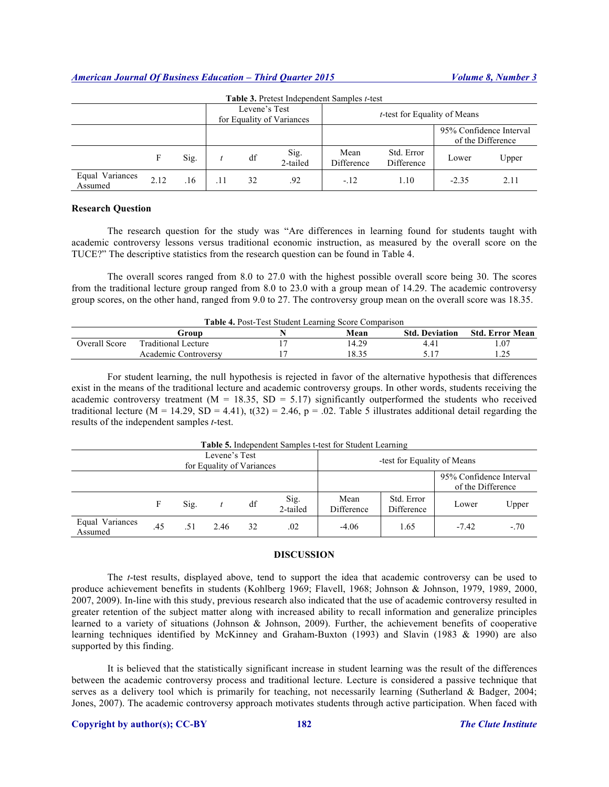| Table 3. Pretest Independent Samples t-test |      |      |                                            |    |                  |                    |                                              |         |       |
|---------------------------------------------|------|------|--------------------------------------------|----|------------------|--------------------|----------------------------------------------|---------|-------|
|                                             |      |      | Levene's Test<br>for Equality of Variances |    |                  |                    | <i>t</i> -test for Equality of Means         |         |       |
|                                             |      |      |                                            |    |                  |                    | 95% Confidence Interval<br>of the Difference |         |       |
|                                             |      | Sig. |                                            | df | Sig.<br>2-tailed | Mean<br>Difference | Std. Error<br>Difference                     | Lower   | Upper |
| Equal Variances<br>Assumed                  | 2.12 | .16  | .11                                        | 32 | .92              | $-12$              | 1.10                                         | $-2.35$ | 2.11  |

#### **Research Question**

The research question for the study was "Are differences in learning found for students taught with academic controversy lessons versus traditional economic instruction, as measured by the overall score on the TUCE?" The descriptive statistics from the research question can be found in Table 4.

The overall scores ranged from 8.0 to 27.0 with the highest possible overall score being 30. The scores from the traditional lecture group ranged from 8.0 to 23.0 with a group mean of 14.29. The academic controversy group scores, on the other hand, ranged from 9.0 to 27. The controversy group mean on the overall score was 18.35.

| <b>Table 4. Post-Test Student Learning Score Comparison</b> |                            |  |       |                       |                 |  |  |  |
|-------------------------------------------------------------|----------------------------|--|-------|-----------------------|-----------------|--|--|--|
|                                                             | Group                      |  | Mean  | <b>Std. Deviation</b> | Std. Error Mean |  |  |  |
| Overall Score                                               | <b>Traditional Lecture</b> |  | 14.29 | 4.41                  | .07             |  |  |  |
|                                                             | Academic Controversy       |  | 18.35 | 517                   | .25             |  |  |  |

For student learning, the null hypothesis is rejected in favor of the alternative hypothesis that differences exist in the means of the traditional lecture and academic controversy groups. In other words, students receiving the academic controversy treatment ( $M = 18.35$ ,  $SD = 5.17$ ) significantly outperformed the students who received traditional lecture (M = 14.29, SD = 4.41),  $t(32) = 2.46$ , p = .02. Table 5 illustrates additional detail regarding the results of the independent samples *t*-test.

| <b>Table 5.</b> Independent Samples t-test for Student Learning |     |      |      |    |                                              |                    |                          |         |        |
|-----------------------------------------------------------------|-----|------|------|----|----------------------------------------------|--------------------|--------------------------|---------|--------|
| Levene's Test<br>for Equality of Variances                      |     |      |      |    | -test for Equality of Means                  |                    |                          |         |        |
|                                                                 |     |      |      |    | 95% Confidence Interval<br>of the Difference |                    |                          |         |        |
|                                                                 | F   | Sig. |      | df | Sig.<br>2-tailed                             | Mean<br>Difference | Std. Error<br>Difference | Lower   | Upper  |
| Equal Variances<br>Assumed                                      | .45 | .51  | 2.46 | 32 | .02                                          | $-4.06$            | 1.65                     | $-7.42$ | $-.70$ |

**Table 5.** Independent Samples t-test for Student Learning

#### **DISCUSSION**

The *t*-test results, displayed above, tend to support the idea that academic controversy can be used to produce achievement benefits in students (Kohlberg 1969; Flavell, 1968; Johnson & Johnson, 1979, 1989, 2000, 2007, 2009). In-line with this study, previous research also indicated that the use of academic controversy resulted in greater retention of the subject matter along with increased ability to recall information and generalize principles learned to a variety of situations (Johnson & Johnson, 2009). Further, the achievement benefits of cooperative learning techniques identified by McKinney and Graham-Buxton (1993) and Slavin (1983 & 1990) are also supported by this finding.

It is believed that the statistically significant increase in student learning was the result of the differences between the academic controversy process and traditional lecture. Lecture is considered a passive technique that serves as a delivery tool which is primarily for teaching, not necessarily learning (Sutherland & Badger, 2004; Jones, 2007). The academic controversy approach motivates students through active participation. When faced with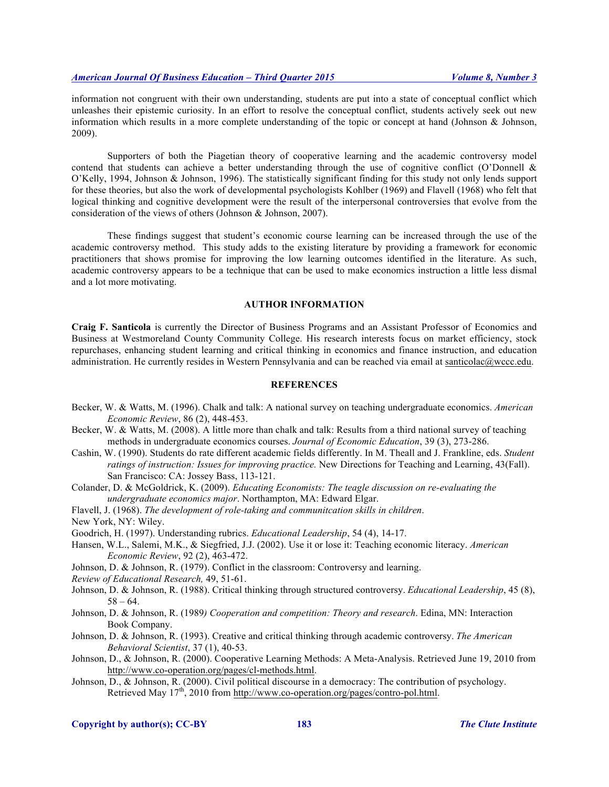information not congruent with their own understanding, students are put into a state of conceptual conflict which unleashes their epistemic curiosity. In an effort to resolve the conceptual conflict, students actively seek out new information which results in a more complete understanding of the topic or concept at hand (Johnson & Johnson, 2009).

Supporters of both the Piagetian theory of cooperative learning and the academic controversy model contend that students can achieve a better understanding through the use of cognitive conflict (O'Donnell & O'Kelly, 1994, Johnson & Johnson, 1996). The statistically significant finding for this study not only lends support for these theories, but also the work of developmental psychologists Kohlber (1969) and Flavell (1968) who felt that logical thinking and cognitive development were the result of the interpersonal controversies that evolve from the consideration of the views of others (Johnson & Johnson, 2007).

These findings suggest that student's economic course learning can be increased through the use of the academic controversy method. This study adds to the existing literature by providing a framework for economic practitioners that shows promise for improving the low learning outcomes identified in the literature. As such, academic controversy appears to be a technique that can be used to make economics instruction a little less dismal and a lot more motivating.

#### **AUTHOR INFORMATION**

**Craig F. Santicola** is currently the Director of Business Programs and an Assistant Professor of Economics and Business at Westmoreland County Community College. His research interests focus on market efficiency, stock repurchases, enhancing student learning and critical thinking in economics and finance instruction, and education administration. He currently resides in Western Pennsylvania and can be reached via email at santicolac@wccc.edu.

## **REFERENCES**

- Becker, W. & Watts, M. (1996). Chalk and talk: A national survey on teaching undergraduate economics. *American Economic Review*, 86 (2), 448-453.
- Becker, W. & Watts, M. (2008). A little more than chalk and talk: Results from a third national survey of teaching methods in undergraduate economics courses. *Journal of Economic Education*, 39 (3), 273-286.
- Cashin, W. (1990). Students do rate different academic fields differently. In M. Theall and J. Frankline, eds. *Student ratings of instruction: Issues for improving practice.* New Directions for Teaching and Learning, 43(Fall). San Francisco: CA: Jossey Bass, 113-121.
- Colander, D. & McGoldrick, K. (2009). *Educating Economists: The teagle discussion on re-evaluating the undergraduate economics major*. Northampton, MA: Edward Elgar.
- Flavell, J. (1968). *The development of role-taking and communitcation skills in children*.
- New York, NY: Wiley.
- Goodrich, H. (1997). Understanding rubrics. *Educational Leadership*, 54 (4), 14-17.
- Hansen, W.L., Salemi, M.K., & Siegfried, J.J. (2002). Use it or lose it: Teaching economic literacy. *American Economic Review*, 92 (2), 463-472.
- Johnson, D. & Johnson, R. (1979). Conflict in the classroom: Controversy and learning.
- *Review of Educational Research,* 49, 51-61.
- Johnson, D. & Johnson, R. (1988). Critical thinking through structured controversy. *Educational Leadership*, 45 (8),  $58 - 64.$
- Johnson, D. & Johnson, R. (1989*) Cooperation and competition: Theory and research*. Edina, MN: Interaction Book Company.
- Johnson, D. & Johnson, R. (1993). Creative and critical thinking through academic controversy. *The American Behavioral Scientist*, 37 (1), 40-53.
- Johnson, D., & Johnson, R. (2000). Cooperative Learning Methods: A Meta-Analysis. Retrieved June 19, 2010 from http://www.co-operation.org/pages/cl-methods.html.
- Johnson, D., & Johnson, R. (2000). Civil political discourse in a democracy: The contribution of psychology. Retrieved May 17<sup>th</sup>, 2010 from http://www.co-operation.org/pages/contro-pol.html.